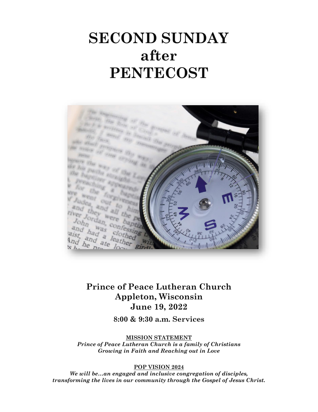# **SECOND SUNDAY after PENTECOST**



## **Prince of Peace Lutheran Church Appleton, Wisconsin June 19, 2022**

**8:00 & 9:30 a.m. Services**

**MISSION STATEMENT**

*Prince of Peace Lutheran Church is a family of Christians Growing in Faith and Reaching out in Love*

**POP VISION 2024**

*We will be…an engaged and inclusive congregation of disciples, transforming the lives in our community through the Gospel of Jesus Christ.*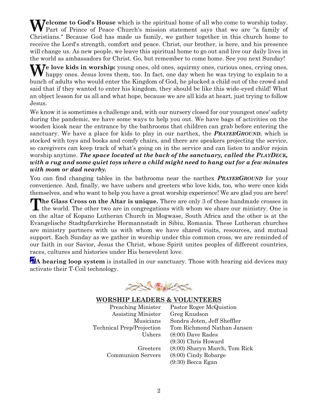**I** Jelcome to God's House which is the spiritual home of all who come to worship today. Welcome to God's House which is the spiritual home of all who come to worship today.<br>Part of Prince of Peace Church's mission statement says that we are "a family of Christians." Because God has made us family, we gather together in this church home to receive the Lord's strength, comfort and peace. Christ, our brother, is here, and his presence will change us. As new people, we leave this spiritual home to go out and live our daily lives in the world as ambassadors for Christ. Go, but remember to come home. See you next Sunday!

We love kids in worship: young ones, old ones, squirmy ones, curious ones, crying ones, happy ones. Jesus loves them, too. In fact, one day when he was trying to explain to a happy ones. Jesus loves them, too. In fact, one day when he was trying to explain to a bunch of adults who would enter the Kingdom of God, he plucked a child out of the crowd and said that if they wanted to enter his kingdom, they should be like this wide-eyed child! What an object lesson for us all and what hope, because we are all kids at heart, just trying to follow Jesus.

We know it is sometimes a challenge and, with our nursery closed for our youngest ones' safety during the pandemic, we have some ways to help you out. We have bags of activities on the wooden kiosk near the entrance by the bathrooms that children can grab before entering the sanctuary. We have a place for kids to play in our narthex, the *PRAYERGROUND*, which is stocked with toys and books and comfy chairs, and there are speakers projecting the service, so caregivers can keep track of what's going on in the service and can listen to and/or rejoin worship anytime. The space located at the back of the sanctuary, called the PLAYDECK, *with a rug and some quiet toys where a child might need to hang out for a few minutes with mom or dad nearby.*

You can find changing tables in the bathrooms near the narthex *PRAYERGROUND* for your convenience. And, finally, we have ushers and greeters who love kids, too, who were once kids themselves, and who want to help you have a great worship experience! We are glad you are here!

The Glass Cross on the Altar is unique. There are only 3 of these handmade crosses in the world. The other two are in congregations with whom we share our ministry. One is **L** the world. The other two are in congregations with whom we share our ministry. One is on the altar of Kopano Lutheran Church in Mogwase, South Africa and the other is at the Evangelische Stadtpfarrkirche Hermannstadt in Sibiu, Romania. These Lutheran churches are ministry partners with us with whom we have shared visits, resources, and mutual support. Each Sunday as we gather in worship under this common cross, we are reminded of our faith in our Savior, Jesus the Christ, whose Spirit unites peoples of different countries, races, cultures and histories under His benevolent love.

**A** hearing loop system is installed in our sanctuary. Those with hearing aid devices may activate their T-Coil technology.



### **WORSHIP LEADERS & VOLUNTEERS**

Preaching Minister Pastor Roger McQuistion Assisting Minister Greg Knudson

Musicians Sondra Joten, Jeff Sheffler Technical Prep/Projection Tom Richmond Nathan Jansen Ushers (8:00) Dave Rades (9:30) Chris Howard Greeters (8:00) Sharyn March, Tom Rick Communion Servers (8:00) Cindy Robarge (9:30) Becca Egan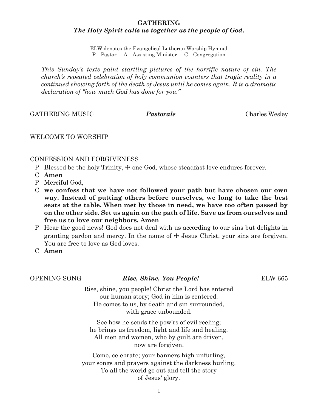### **GATHERING** *The Holy Spirit calls us together as the people of God***.**

ELW denotes the Evangelical Lutheran Worship Hymnal P—Pastor A—Assisting Minister C—Congregation

*This Sunday's texts paint startling pictures of the horrific nature of sin. The church's repeated celebration of holy communion counters that tragic reality in a continued showing forth of the death of Jesus until he comes again. It is a dramatic declaration of "how much God has done for you."*

GATHERING MUSIC *Pastorale* Charles Wesley

WELCOME TO WORSHIP

CONFESSION AND FORGIVENESS

- P Blessed be the holy Trinity,  $\pm$  one God, whose steadfast love endures forever.
- C **Amen**
- P Merciful God,
- C **we confess that we have not followed your path but have chosen our own way. Instead of putting others before ourselves, we long to take the best seats at the table. When met by those in need, we have too often passed by on the other side. Set us again on the path of life. Save us from ourselves and free us to love our neighbors. Amen**
- P Hear the good news! God does not deal with us according to our sins but delights in granting pardon and mercy. In the name of  $\pm$  Jesus Christ, your sins are forgiven. You are free to love as God loves.
- C **Amen**

### OPENING SONG *Rise, Shine, You People!* ELW 665

Rise, shine, you people! Christ the Lord has entered our human story; God in him is centered. He comes to us, by death and sin surrounded, with grace unbounded.

See how he sends the pow'rs of evil reeling; he brings us freedom, light and life and healing. All men and women, who by guilt are driven, now are forgiven.

Come, celebrate; your banners high unfurling, your songs and prayers against the darkness hurling. To all the world go out and tell the story of Jesus' glory.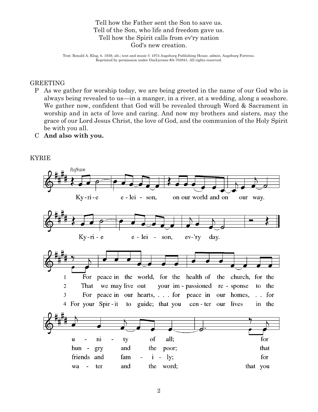### Tell how the Father sent the Son to save us. Tell of the Son, who life and freedom gave us. Tell how the Spirit calls from ev'ry nation God's new creation.

Text: Ronald A. Klug, b. 1939, alt.; text and music © 1974 Augsburg Publishing House, admin. Augsburg Fortress. Reprinted by permission under OneLicense #A-703841. All rights reserved.

### GREETING

- P As we gather for worship today, we are being greeted in the name of our God who is always being revealed to us—in a manger, in a river, at a wedding, along a seashore. We gather now, confident that God will be revealed through Word & Sacrament in worship and in acts of love and caring. And now my brothers and sisters, may the grace of our Lord Jesus Christ, the love of God, and the communion of the Holy Spirit be with you all.
- C **And also with you.**

### KYRIE

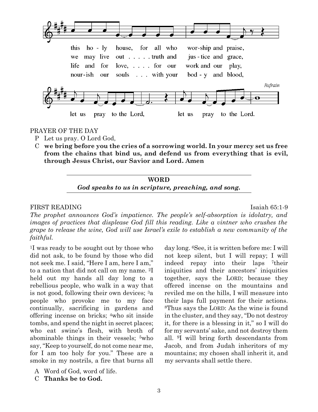

### PRAYER OF THE DAY

- P Let us pray. O Lord God,
- C **we bring before you the cries of a sorrowing world. In your mercy set us free from the chains that bind us, and defend us from everything that is evil, through Jesus Christ, our Savior and Lord. Amen**

| <b>WORD</b>                                         |
|-----------------------------------------------------|
| God speaks to us in scripture, preaching, and song. |

### FIRST READING Isaiah 65:1-9

*The prophet announces God's impatience. The people's self-absorption is idolatry, and images of practices that displease God fill this reading. Like a vintner who crushes the grape to release the wine, God will use Israel's exile to establish a new community of the faithful.*

<sup>1</sup>I was ready to be sought out by those who did not ask, to be found by those who did not seek me. I said, "Here I am, here I am," to a nation that did not call on my name. 2I held out my hands all day long to a rebellious people, who walk in a way that is not good, following their own devices; 3a people who provoke me to my face continually, sacrificing in gardens and offering incense on bricks; <sup>4</sup>who sit inside tombs, and spend the night in secret places; who eat swine's flesh, with broth of abominable things in their vessels; <sup>5</sup>who say, "Keep to yourself, do not come near me, for I am too holy for you." These are a smoke in my nostrils, a fire that burns all

- A Word of God, word of life.
- C **Thanks be to God.**

day long. <sup>6</sup>See, it is written before me: I will not keep silent, but I will repay; I will indeed repay into their laps <sup>7</sup>their iniquities and their ancestors' iniquities together, says the LORD; because they offered incense on the mountains and reviled me on the hills, I will measure into their laps full payment for their actions. <sup>8</sup>Thus says the LORD: As the wine is found in the cluster, and they say, "Do not destroy it, for there is a blessing in it," so I will do for my servants' sake, and not destroy them all. <sup>9</sup>I will bring forth descendants from Jacob, and from Judah inheritors of my mountains; my chosen shall inherit it, and my servants shall settle there.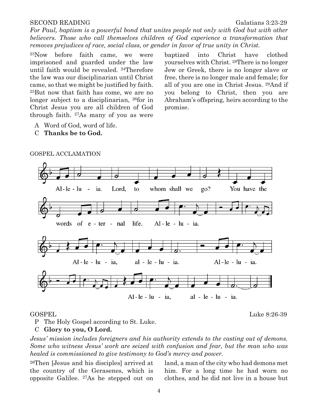### SECOND READING Galatians 3:23-29

baptized into Christ have clothed yourselves with Christ. <sup>28</sup>There is no longer Jew or Greek, there is no longer slave or free, there is no longer male and female; for all of you are one in Christ Jesus. <sup>29</sup>And if you belong to Christ, then you are Abraham's offspring, heirs according to the

For Paul, baptism is a powerful bond that unites people not only with God but with other *believers. Those who call themselves children of God experience a transformation that removes prejudices of race, social class, or gender in favor of true unity in Christ.*

promise.

<sup>23</sup>Now before faith came, we were imprisoned and guarded under the law until faith would be revealed. 24Therefore the law was our disciplinarian until Christ came, so that we might be justified by faith. <sup>25</sup>But now that faith has come, we are no longer subject to a disciplinarian, <sup>26</sup>for in Christ Jesus you are all children of God through faith. <sup>27</sup>As many of you as were

- A Word of God, word of life.
- C **Thanks be to God.**

 $Al-le - lu - ia.$ You have the Lord, to whom shall we  $g_0$ ? words of e - ter - nal life.  $Al - le - lu - ia$ .  $Al - le - lu - ia$ , al - le - lu - ia.  $Al-le - lu - ia.$  $Al-le - lu - ia$ .  $al - le - lu - ia$ .

GOSPEL ACCLAMATION

GOSPEL Luke 8:26-39



### C **Glory to you, O Lord.**

*Jesus' mission includes foreigners and his authority extends to the casting out of demons. Some who witness Jesus' work are seized with confusion and fear, but the man who was healed is commissioned to give testimony to God's mercy and power.*

<sup>26</sup>Then [Jesus and his disciples] arrived at the country of the Gerasenes, which is opposite Galilee. 27As he stepped out on land, a man of the city who had demons met him. For a long time he had worn no clothes, and he did not live in a house but

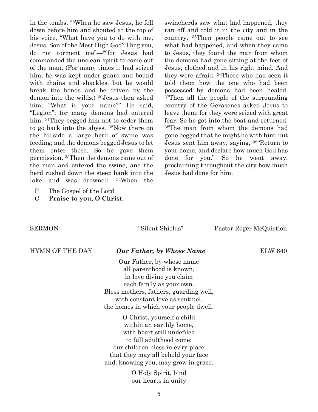in the tombs. 28When he saw Jesus, he fell down before him and shouted at the top of his voice, "What have you to do with me, Jesus, Son of the Most High God? I beg you, do not torment me"—29for Jesus had commanded the unclean spirit to come out of the man. (For many times it had seized him; he was kept under guard and bound with chains and shackles, but he would break the bonds and be driven by the demon into the wilds.) 30Jesus then asked him, "What is your name?" He said, "Legion"; for many demons had entered him. 31They begged him not to order them to go back into the abyss. 32Now there on the hillside a large herd of swine was feeding; and the demons begged Jesus to let them enter these. So he gave them permission. 33Then the demons came out of the man and entered the swine, and the herd rushed down the steep bank into the lake and was drowned. 34When the

- P The Gospel of the Lord.
- C **Praise to you, O Christ.**

swineherds saw what had happened, they ran off and told it in the city and in the country. 35Then people came out to see what had happened, and when they came to Jesus, they found the man from whom the demons had gone sitting at the feet of Jesus, clothed and in his right mind. And they were afraid. 36Those who had seen it told them how the one who had been possessed by demons had been healed. <sup>37</sup>Then all the people of the surrounding country of the Gerasenes asked Jesus to leave them; for they were seized with great fear. So he got into the boat and returned. <sup>38</sup>The man from whom the demons had gone begged that he might be with him; but Jesus sent him away, saying, 39"Return to your home, and declare how much God has done for you." So he went away, proclaiming throughout the city how much Jesus had done for him.

SERMON "Silent Shields" Pastor Roger McQuistion

### HYMN OF THE DAY *Our Father, by Whose Name* ELW 640

Our Father, by whose name all parenthood is known, in love divine you claim each fam'ly as your own. Bless mothers, fathers, guarding well, with constant love as sentinel, the homes in which your people dwell.

O Christ, yourself a child within an earthly home, with heart still undefiled to full adulthood come: our children bless in ev'ry place that they may all behold your face and, knowing you, may grow in grace.

> O Holy Spirit, bind our hearts in unity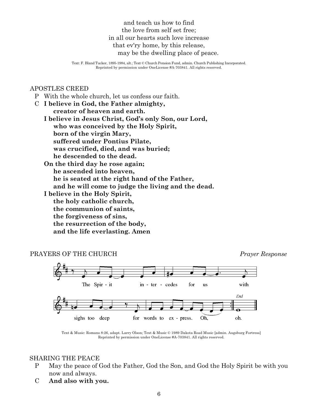and teach us how to find the love from self set free; in all our hearts such love increase that ev'ry home, by this release, may be the dwelling place of peace.

Text: F. Bland Tucker, 1895-1984, alt.; Text © Church Pension Fund, admin. Church Publishing Incorporated. Reprinted by permission under OneLicense #A-703841. All rights reserved.

### APOSTLES CREED

P With the whole church, let us confess our faith. C **I believe in God, the Father almighty, creator of heaven and earth. I believe in Jesus Christ, God's only Son, our Lord, who was conceived by the Holy Spirit, born of the virgin Mary, suffered under Pontius Pilate, was crucified, died, and was buried; he descended to the dead. On the third day he rose again; he ascended into heaven, he is seated at the right hand of the Father, and he will come to judge the living and the dead. I believe in the Holy Spirit, the holy catholic church, the communion of saints, the forgiveness of sins, the resurrection of the body, and the life everlasting. Amen**

### PRAYERS OF THE CHURCH *Prayer Response*



Text & Music: Romans 8:26, adapt. Larry Olson; Text & Music © 1989 Dakota Road Music [admin. Augsburg Fortress] Reprinted by permission under OneLicense #A-703841. All rights reserved.

### SHARING THE PEACE

- P May the peace of God the Father, God the Son, and God the Holy Spirit be with you now and always.
- C **And also with you.**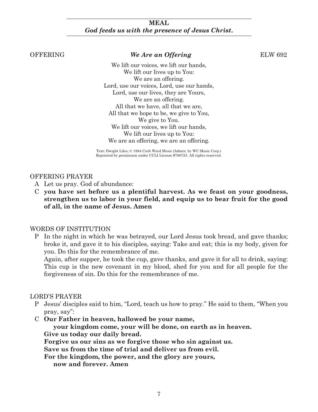### **MEAL** *God feeds us with the presence of Jesus Christ***.**

### OFFERING *We Are an Offering* ELW 692

We lift our voices, we lift our hands, We lift our lives up to You: We are an offering. Lord, use our voices, Lord, use our hands, Lord, use our lives, they are Yours, We are an offering. All that we have, all that we are, All that we hope to be, we give to You, We give to You. We lift our voices, we lift our hands, We lift our lives up to You: We are an offering, we are an offering.

Text: Dwight Liles; © 1984 Curb Word Music (Admin. by WC Music Corp.) Reprinted by permission under CCLI License #788723. All rights reserved.

### OFFERING PRAYER

- A Let us pray. God of abundance:
- C **you have set before us a plentiful harvest. As we feast on your goodness, strengthen us to labor in your field, and equip us to bear fruit for the good of all, in the name of Jesus. Amen**

### WORDS OF INSTITUTION

P In the night in which he was betrayed, our Lord Jesus took bread, and gave thanks; broke it, and gave it to his disciples, saying: Take and eat; this is my body, given for you. Do this for the remembrance of me.

Again, after supper, he took the cup, gave thanks, and gave it for all to drink, saying: This cup is the new covenant in my blood, shed for you and for all people for the forgiveness of sin. Do this for the remembrance of me.

### LORD'S PRAYER

- P Jesus' disciples said to him, "Lord, teach us how to pray." He said to them, "When you pray, say":
- C **Our Father in heaven, hallowed be your name,**

**your kingdom come, your will be done, on earth as in heaven. Give us today our daily bread.**

**Forgive us our sins as we forgive those who sin against us.**

**Save us from the time of trial and deliver us from evil.**

**For the kingdom, the power, and the glory are yours,**

**now and forever. Amen**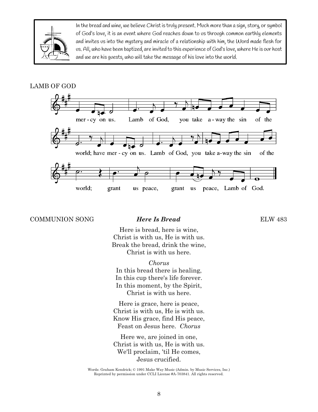

In the bread and wine, we believe Christ is truly present. Much more than a sign, story, or symbol of God's love, it is an event where God reaches down to us through common earthly elements and invites us into the mystery and miracle of a relationship with him, the Word made flesh for us. All, who have been baptized, are invited to this experience of God's love, where He is our host and we are his guests, who will take the message of his love into the world.

### LAMB OF GOD



COMMUNION SONG *Here Is Bread* ELW 483

Here is bread, here is wine, Christ is with us, He is with us. Break the bread, drink the wine, Christ is with us here.

*Chorus* In this bread there is healing, In this cup there's life forever. In this moment, by the Spirit, Christ is with us here.

Here is grace, here is peace, Christ is with us, He is with us. Know His grace, find His peace, Feast on Jesus here. *Chorus*

Here we, are joined in one, Christ is with us, He is with us. We'll proclaim, 'til He comes, Jesus crucified.

Words: Graham Kendrick; © 1991 Make Way Music (Admin. by Music Services, Inc.) Reprinted by permission under CCLI License #A-703841. All rights reserved.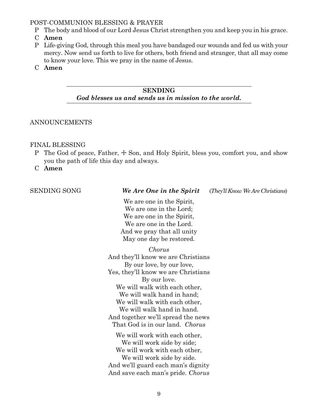### POST-COMMUNION BLESSING & PRAYER

- P The body and blood of our Lord Jesus Christ strengthen you and keep you in his grace.
- C **Amen**
- P Life-giving God, through this meal you have bandaged our wounds and fed us with your mercy. Now send us forth to live for others, both friend and stranger, that all may come to know your love. This we pray in the name of Jesus.
- C **Amen**

### **SENDING** *God blesses us and sends us in mission to the world.*

### ANNOUNCEMENTS

### FINAL BLESSING

- P The God of peace, Father,  $\pm$  Son, and Holy Spirit, bless you, comfort you, and show you the path of life this day and always.
- C **Amen**

SENDING SONG *We Are One in the Spirit* (*They'll Know We Are Christians*)

We are one in the Spirit, We are one in the Lord; We are one in the Spirit, We are one in the Lord. And we pray that all unity May one day be restored.

*Chorus* And they'll know we are Christians By our love, by our love, Yes, they'll know we are Christians By our love. We will walk with each other, We will walk hand in hand; We will walk with each other, We will walk hand in hand. And together we'll spread the news That God is in our land. *Chorus* We will work with each other, We will work side by side; We will work with each other, We will work side by side.

And we'll guard each man's dignity And save each man's pride. *Chorus*